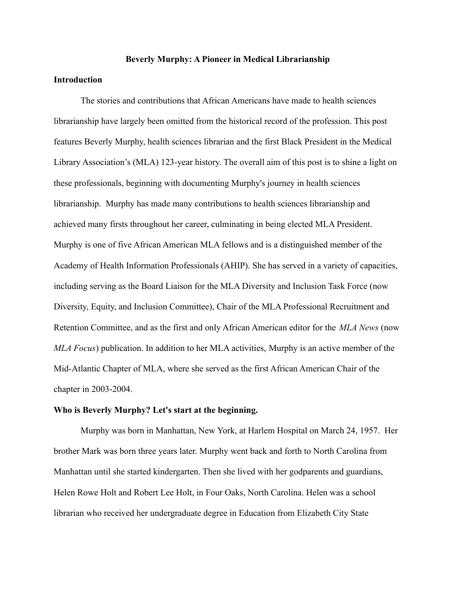### **Beverly Murphy: A Pioneer in Medical Librarianship**

# **Introduction**

The stories and contributions that African Americans have made to health sciences librarianship have largely been omitted from the historical record of the profession. This post features Beverly Murphy, health sciences librarian and the first Black President in the Medical Library Association's (MLA) 123-year history. The overall aim of this post is to shine a light on these professionals, beginning with documenting Murphy's journey in health sciences librarianship. Murphy has made many contributions to health sciences librarianship and achieved many firsts throughout her career, culminating in being elected MLA President. Murphy is one of five African American MLA fellows and is a distinguished member of the Academy of Health Information Professionals (AHIP). She has served in a variety of capacities, including serving as the Board Liaison for the MLA Diversity and Inclusion Task Force (now Diversity, Equity, and Inclusion Committee), Chair of the MLA Professional Recruitment and Retention Committee, and as the first and only African American editor for the *MLA News* (now *MLA Focus*) publication. In addition to her MLA activities, Murphy is an active member of the Mid-Atlantic Chapter of MLA, where she served as the first African American Chair of the chapter in 2003-2004.

## **Who is Beverly Murphy? Let's start at the beginning.**

Murphy was born in Manhattan, New York, at Harlem Hospital on March 24, 1957. Her brother Mark was born three years later. Murphy went back and forth to North Carolina from Manhattan until she started kindergarten. Then she lived with her godparents and guardians, Helen Rowe Holt and Robert Lee Holt, in Four Oaks, North Carolina. Helen was a school librarian who received her undergraduate degree in Education from Elizabeth City State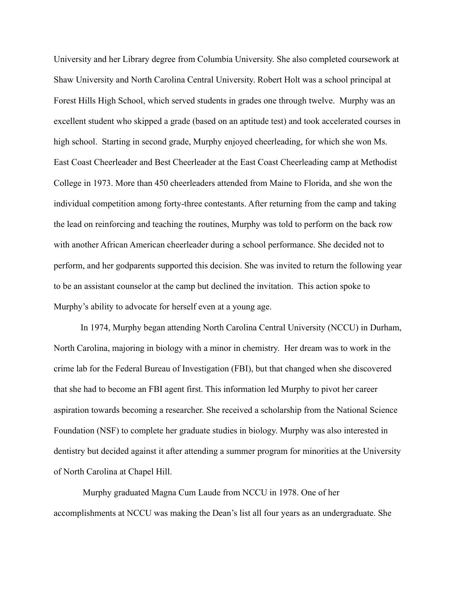University and her Library degree from Columbia University. She also completed coursework at Shaw University and North Carolina Central University. Robert Holt was a school principal at Forest Hills High School, which served students in grades one through twelve. Murphy was an excellent student who skipped a grade (based on an aptitude test) and took accelerated courses in high school. Starting in second grade, Murphy enjoyed cheerleading, for which she won Ms. East Coast Cheerleader and Best Cheerleader at the East Coast Cheerleading camp at Methodist College in 1973. More than 450 cheerleaders attended from Maine to Florida, and she won the individual competition among forty-three contestants. After returning from the camp and taking the lead on reinforcing and teaching the routines, Murphy was told to perform on the back row with another African American cheerleader during a school performance. She decided not to perform, and her godparents supported this decision. She was invited to return the following year to be an assistant counselor at the camp but declined the invitation. This action spoke to Murphy's ability to advocate for herself even at a young age.

In 1974, Murphy began attending North Carolina Central University (NCCU) in Durham, North Carolina, majoring in biology with a minor in chemistry. Her dream was to work in the crime lab for the Federal Bureau of Investigation (FBI), but that changed when she discovered that she had to become an FBI agent first. This information led Murphy to pivot her career aspiration towards becoming a researcher. She received a scholarship from the National Science Foundation (NSF) to complete her graduate studies in biology. Murphy was also interested in dentistry but decided against it after attending a summer program for minorities at the University of North Carolina at Chapel Hill.

Murphy graduated Magna Cum Laude from NCCU in 1978. One of her accomplishments at NCCU was making the Dean's list all four years as an undergraduate. She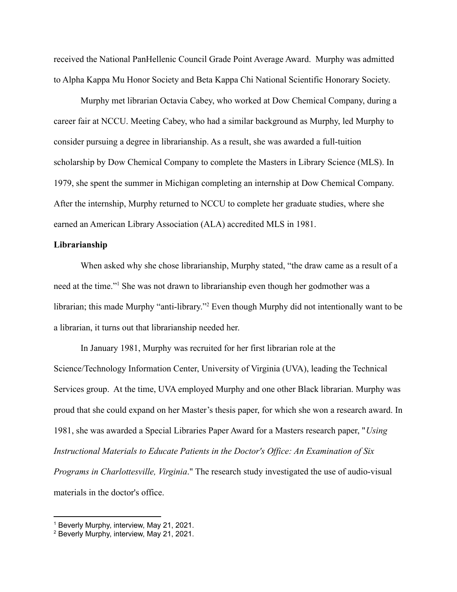received the National PanHellenic Council Grade Point Average Award. Murphy was admitted to Alpha Kappa Mu Honor Society and Beta Kappa Chi National Scientific Honorary Society.

Murphy met librarian Octavia Cabey, who worked at Dow Chemical Company, during a career fair at NCCU. Meeting Cabey, who had a similar background as Murphy, led Murphy to consider pursuing a degree in librarianship. As a result, she was awarded a full-tuition scholarship by Dow Chemical Company to complete the Masters in Library Science (MLS). In 1979, she spent the summer in Michigan completing an internship at Dow Chemical Company. After the internship, Murphy returned to NCCU to complete her graduate studies, where she earned an American Library Association (ALA) accredited MLS in 1981.

## **Librarianship**

When asked why she chose librarianship, Murphy stated, "the draw came as a result of a need at the time."<sup>1</sup> She was not drawn to librarianship even though her godmother was a librarian; this made Murphy "anti-library."<sup>2</sup> Even though Murphy did not intentionally want to be a librarian, it turns out that librarianship needed her.

In January 1981, Murphy was recruited for her first librarian role at the Science/Technology Information Center, University of Virginia (UVA), leading the Technical Services group. At the time, UVA employed Murphy and one other Black librarian. Murphy was proud that she could expand on her Master's thesis paper, for which she won a research award. In 1981, she was awarded a Special Libraries Paper Award for a Masters research paper, "*Using Instructional Materials to Educate Patients in the Doctor's Office: An Examination of Six Programs in Charlottesville, Virginia*." The research study investigated the use of audio-visual materials in the doctor's office.

<sup>1</sup> Beverly Murphy, interview, May 21, 2021.

<sup>2</sup> Beverly Murphy, interview, May 21, 2021.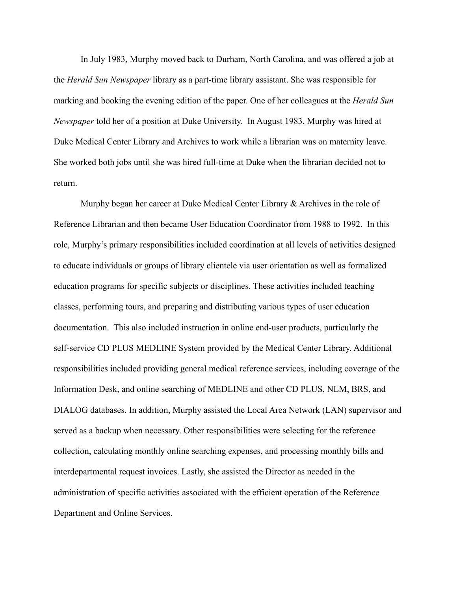In July 1983, Murphy moved back to Durham, North Carolina, and was offered a job at the *Herald Sun Newspaper* library as a part-time library assistant. She was responsible for marking and booking the evening edition of the paper. One of her colleagues at the *Herald Sun Newspaper* told her of a position at Duke University. In August 1983, Murphy was hired at Duke Medical Center Library and Archives to work while a librarian was on maternity leave. She worked both jobs until she was hired full-time at Duke when the librarian decided not to return.

Murphy began her career at Duke Medical Center Library & Archives in the role of Reference Librarian and then became User Education Coordinator from 1988 to 1992. In this role, Murphy's primary responsibilities included coordination at all levels of activities designed to educate individuals or groups of library clientele via user orientation as well as formalized education programs for specific subjects or disciplines. These activities included teaching classes, performing tours, and preparing and distributing various types of user education documentation. This also included instruction in online end-user products, particularly the self-service CD PLUS MEDLINE System provided by the Medical Center Library. Additional responsibilities included providing general medical reference services, including coverage of the Information Desk, and online searching of MEDLINE and other CD PLUS, NLM, BRS, and DIALOG databases. In addition, Murphy assisted the Local Area Network (LAN) supervisor and served as a backup when necessary. Other responsibilities were selecting for the reference collection, calculating monthly online searching expenses, and processing monthly bills and interdepartmental request invoices. Lastly, she assisted the Director as needed in the administration of specific activities associated with the efficient operation of the Reference Department and Online Services.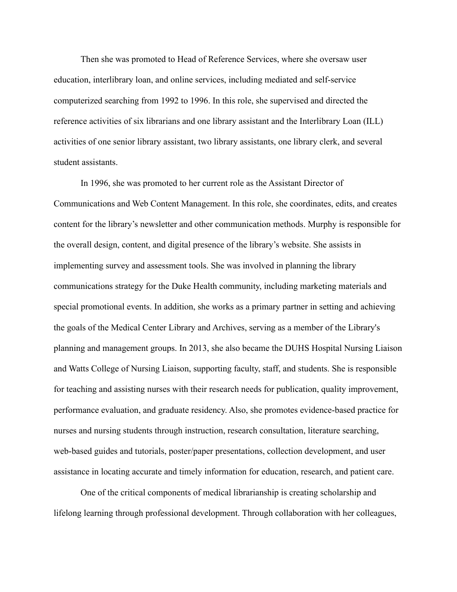Then she was promoted to Head of Reference Services, where she oversaw user education, interlibrary loan, and online services, including mediated and self-service computerized searching from 1992 to 1996. In this role, she supervised and directed the reference activities of six librarians and one library assistant and the Interlibrary Loan (ILL) activities of one senior library assistant, two library assistants, one library clerk, and several student assistants.

In 1996, she was promoted to her current role as the Assistant Director of Communications and Web Content Management. In this role, she coordinates, edits, and creates content for the library's newsletter and other communication methods. Murphy is responsible for the overall design, content, and digital presence of the library's website. She assists in implementing survey and assessment tools. She was involved in planning the library communications strategy for the Duke Health community, including marketing materials and special promotional events. In addition, she works as a primary partner in setting and achieving the goals of the Medical Center Library and Archives, serving as a member of the Library's planning and management groups. In 2013, she also became the DUHS Hospital Nursing Liaison and Watts College of Nursing Liaison, supporting faculty, staff, and students. She is responsible for teaching and assisting nurses with their research needs for publication, quality improvement, performance evaluation, and graduate residency. Also, she promotes evidence-based practice for nurses and nursing students through instruction, research consultation, literature searching, web-based guides and tutorials, poster/paper presentations, collection development, and user assistance in locating accurate and timely information for education, research, and patient care.

One of the critical components of medical librarianship is creating scholarship and lifelong learning through professional development. Through collaboration with her colleagues,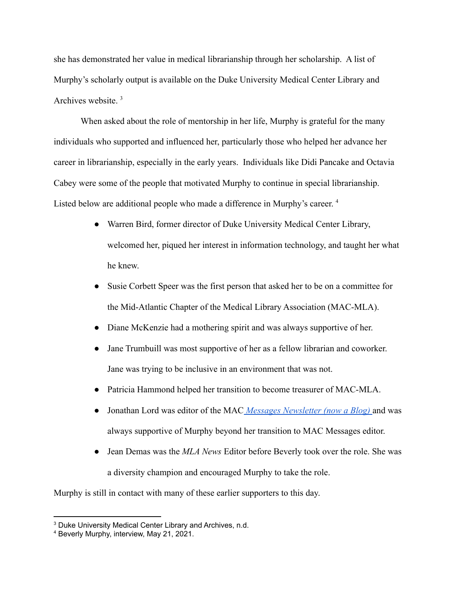she has demonstrated her value in medical librarianship through her scholarship. A list of Murphy's scholarly output is available on the Duke University Medical Center Library and Archives website. <sup>3</sup>

When asked about the role of mentorship in her life, Murphy is grateful for the many individuals who supported and influenced her, particularly those who helped her advance her career in librarianship, especially in the early years. Individuals like Didi Pancake and Octavia Cabey were some of the people that motivated Murphy to continue in special librarianship. Listed below are additional people who made a difference in Murphy's career. 4

- Warren Bird, former director of Duke University Medical Center Library, welcomed her, piqued her interest in information technology, and taught her what he knew.
- Susie Corbett Speer was the first person that asked her to be on a committee for the Mid-Atlantic Chapter of the Medical Library Association (MAC-MLA).
- Diane McKenzie had a mothering spirit and was always supportive of her.
- Jane Trumbuill was most supportive of her as a fellow librarian and coworker. Jane was trying to be inclusive in an environment that was not.
- Patricia Hammond helped her transition to become treasurer of MAC-MLA.
- Jonathan Lord was editor of the MAC *[Messages Newsletter](https://macmla.org/blog/) (now a Blog)* and was always supportive of Murphy beyond her transition to MAC Messages editor.
- Jean Demas was the *MLA News* Editor before Beverly took over the role. She was a diversity champion and encouraged Murphy to take the role.

Murphy is still in contact with many of these earlier supporters to this day.

<sup>&</sup>lt;sup>3</sup> Duke University Medical Center Library and Archives, n.d.

<sup>4</sup> Beverly Murphy, interview, May 21, 2021.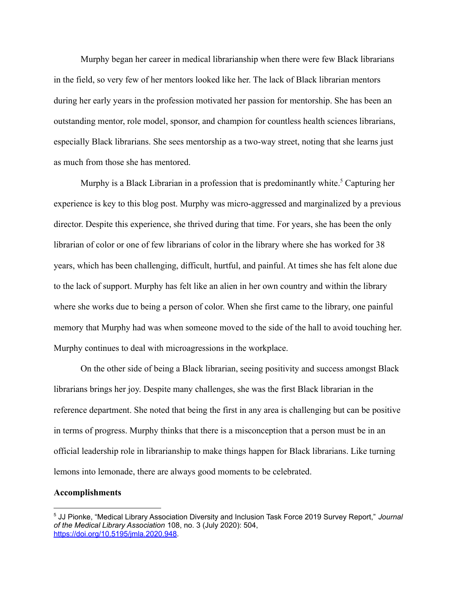Murphy began her career in medical librarianship when there were few Black librarians in the field, so very few of her mentors looked like her. The lack of Black librarian mentors during her early years in the profession motivated her passion for mentorship. She has been an outstanding mentor, role model, sponsor, and champion for countless health sciences librarians, especially Black librarians. She sees mentorship as a two-way street, noting that she learns just as much from those she has mentored.

Murphy is a Black Librarian in a profession that is predominantly white.<sup>5</sup> Capturing her experience is key to this blog post. Murphy was micro-aggressed and marginalized by a previous director. Despite this experience, she thrived during that time. For years, she has been the only librarian of color or one of few librarians of color in the library where she has worked for 38 years, which has been challenging, difficult, hurtful, and painful. At times she has felt alone due to the lack of support. Murphy has felt like an alien in her own country and within the library where she works due to being a person of color. When she first came to the library, one painful memory that Murphy had was when someone moved to the side of the hall to avoid touching her. Murphy continues to deal with microagressions in the workplace.

On the other side of being a Black librarian, seeing positivity and success amongst Black librarians brings her joy. Despite many challenges, she was the first Black librarian in the reference department. She noted that being the first in any area is challenging but can be positive in terms of progress. Murphy thinks that there is a misconception that a person must be in an official leadership role in librarianship to make things happen for Black librarians. Like turning lemons into lemonade, there are always good moments to be celebrated.

### **Accomplishments**

<sup>5</sup> JJ Pionke, "Medical Library Association Diversity and Inclusion Task Force 2019 Survey Report," *Journal of the Medical Library Association* 108, no. 3 (July 2020): 504, <https://doi.org/10.5195/jmla.2020.948>.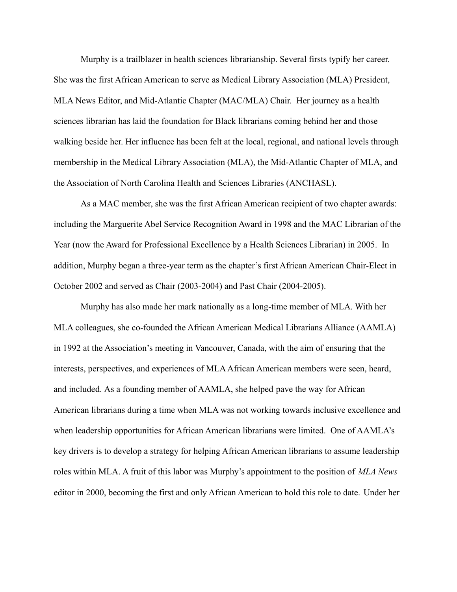Murphy is a trailblazer in health sciences librarianship. Several firsts typify her career. She was the first African American to serve as Medical Library Association (MLA) President, MLA News Editor, and Mid-Atlantic Chapter (MAC/MLA) Chair. Her journey as a health sciences librarian has laid the foundation for Black librarians coming behind her and those walking beside her. Her influence has been felt at the local, regional, and national levels through membership in the Medical Library Association (MLA), the Mid-Atlantic Chapter of MLA, and the Association of North Carolina Health and Sciences Libraries (ANCHASL).

As a MAC member, she was the first African American recipient of two chapter awards: including the Marguerite Abel Service Recognition Award in 1998 and the MAC Librarian of the Year (now the Award for Professional Excellence by a Health Sciences Librarian) in 2005. In addition, Murphy began a three-year term as the chapter's first African American Chair-Elect in October 2002 and served as Chair (2003-2004) and Past Chair (2004-2005).

Murphy has also made her mark nationally as a long-time member of MLA. With her MLA colleagues, she co-founded the African American Medical Librarians Alliance (AAMLA) in 1992 at the Association's meeting in Vancouver, Canada, with the aim of ensuring that the interests, perspectives, and experiences of MLA African American members were seen, heard, and included. As a founding member of AAMLA, she helped pave the way for African American librarians during a time when MLA was not working towards inclusive excellence and when leadership opportunities for African American librarians were limited. One of AAMLA's key drivers is to develop a strategy for helping African American librarians to assume leadership roles within MLA. A fruit of this labor was Murphy's appointment to the position of *MLA News* editor in 2000, becoming the first and only African American to hold this role to date. Under her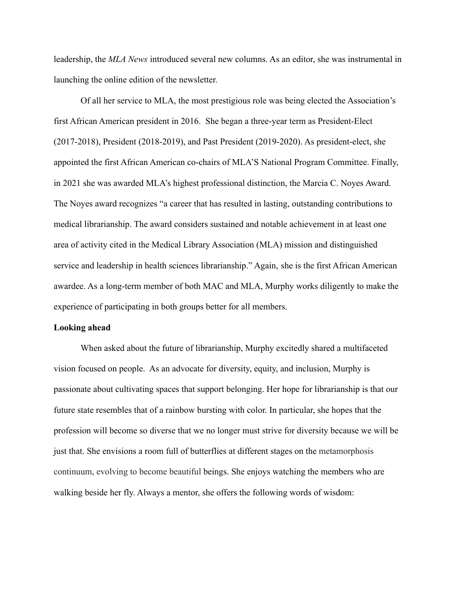leadership, the *MLA News* introduced several new columns. As an editor, she was instrumental in launching the online edition of the newsletter*.*

Of all her service to MLA, the most prestigious role was being elected the Association's first African American president in 2016. She began a three-year term as President-Elect (2017-2018), President (2018-2019), and Past President (2019-2020). As president-elect, she appointed the first African American co-chairs of MLA'S National Program Committee. Finally, in 2021 she was awarded MLA's highest professional distinction, the Marcia C. Noyes Award. The Noyes award recognizes "a career that has resulted in lasting, outstanding contributions to medical librarianship. The award considers sustained and notable achievement in at least one area of activity cited in the Medical Library Association (MLA) mission and distinguished service and leadership in health sciences librarianship." Again, she is the first African American awardee. As a long-term member of both MAC and MLA, Murphy works diligently to make the experience of participating in both groups better for all members.

#### **Looking ahead**

When asked about the future of librarianship, Murphy excitedly shared a multifaceted vision focused on people. As an advocate for diversity, equity, and inclusion, Murphy is passionate about cultivating spaces that support belonging. Her hope for librarianship is that our future state resembles that of a rainbow bursting with color. In particular, she hopes that the profession will become so diverse that we no longer must strive for diversity because we will be just that. She envisions a room full of butterflies at different stages on the metamorphosis continuum, evolving to become beautiful beings. She enjoys watching the members who are walking beside her fly. Always a mentor, she offers the following words of wisdom: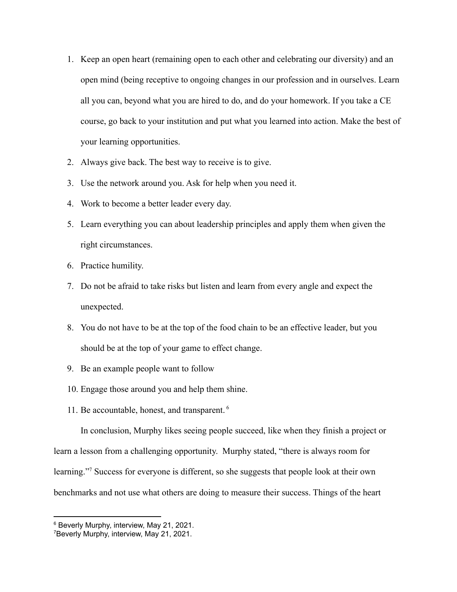- 1. Keep an open heart (remaining open to each other and celebrating our diversity) and an open mind (being receptive to ongoing changes in our profession and in ourselves. Learn all you can, beyond what you are hired to do, and do your homework. If you take a CE course, go back to your institution and put what you learned into action. Make the best of your learning opportunities.
- 2. Always give back. The best way to receive is to give.
- 3. Use the network around you. Ask for help when you need it.
- 4. Work to become a better leader every day.
- 5. Learn everything you can about leadership principles and apply them when given the right circumstances.
- 6. Practice humility.
- 7. Do not be afraid to take risks but listen and learn from every angle and expect the unexpected.
- 8. You do not have to be at the top of the food chain to be an effective leader, but you should be at the top of your game to effect change.
- 9. Be an example people want to follow
- 10. Engage those around you and help them shine.
- 11. Be accountable, honest, and transparent. <sup>6</sup>

In conclusion, Murphy likes seeing people succeed, like when they finish a project or learn a lesson from a challenging opportunity. Murphy stated, "there is always room for learning."<sup>7</sup> Success for everyone is different, so she suggests that people look at their own benchmarks and not use what others are doing to measure their success. Things of the heart

<sup>6</sup> Beverly Murphy, interview, May 21, 2021.

<sup>7</sup>Beverly Murphy, interview, May 21, 2021.